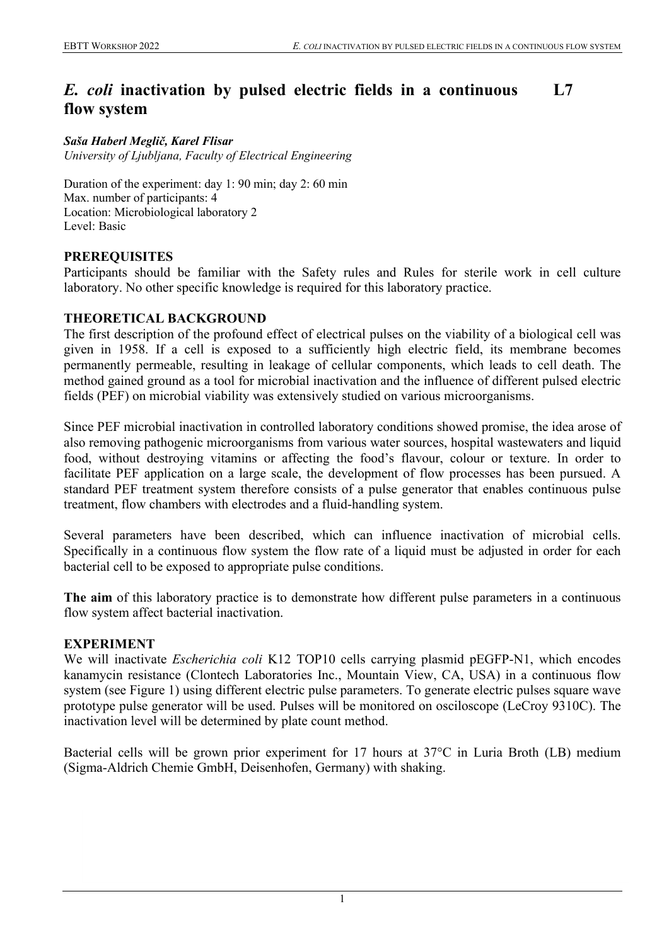#### *E. coli* **inactivation by pulsed electric fields in a continuous flow system L7**

#### *Saša Haberl Meglič, Karel Flisar*

*University of Ljubljana, Faculty of Electrical Engineering*

Duration of the experiment: day 1: 90 min; day 2: 60 min Max. number of participants: 4 Location: Microbiological laboratory 2 Level: Basic

## **PREREQUISITES**

Participants should be familiar with the Safety rules and Rules for sterile work in cell culture laboratory. No other specific knowledge is required for this laboratory practice.

## **THEORETICAL BACKGROUND**

The first description of the profound effect of electrical pulses on the viability of a biological cell was given in 1958. If a cell is exposed to a sufficiently high electric field, its membrane becomes permanently permeable, resulting in leakage of cellular components, which leads to cell death. The method gained ground as a tool for microbial inactivation and the influence of different pulsed electric fields (PEF) on microbial viability was extensively studied on various microorganisms.

Since PEF microbial inactivation in controlled laboratory conditions showed promise, the idea arose of also removing pathogenic microorganisms from various water sources, hospital wastewaters and liquid food, without destroying vitamins or affecting the food's flavour, colour or texture. In order to facilitate PEF application on a large scale, the development of flow processes has been pursued. A standard PEF treatment system therefore consists of a pulse generator that enables continuous pulse treatment, flow chambers with electrodes and a fluid-handling system.

Several parameters have been described, which can influence inactivation of microbial cells. Specifically in a continuous flow system the flow rate of a liquid must be adjusted in order for each bacterial cell to be exposed to appropriate pulse conditions.

**The aim** of this laboratory practice is to demonstrate how different pulse parameters in a continuous flow system affect bacterial inactivation.

## **EXPERIMENT**

We will inactivate *Escherichia coli* K12 TOP10 cells carrying plasmid pEGFP-N1, which encodes kanamycin resistance (Clontech Laboratories Inc., Mountain View, CA, USA) in a continuous flow system (see Figure 1) using different electric pulse parameters. To generate electric pulses square wave prototype pulse generator will be used. Pulses will be monitored on osciloscope (LeCroy 9310C). The inactivation level will be determined by plate count method.

Bacterial cells will be grown prior experiment for 17 hours at 37°C in Luria Broth (LB) medium (Sigma-Aldrich Chemie GmbH, Deisenhofen, Germany) with shaking.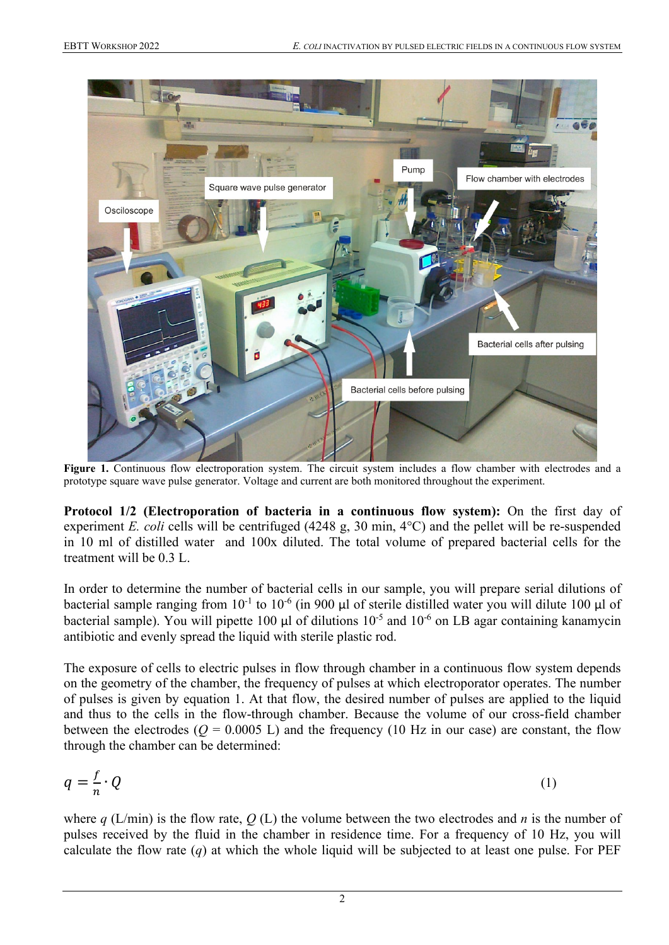

**Figure 1.** Continuous flow electroporation system. The circuit system includes a flow chamber with electrodes and a prototype square wave pulse generator. Voltage and current are both monitored throughout the experiment.

**Protocol 1/2 (Electroporation of bacteria in a continuous flow system):** On the first day of experiment *E. coli* cells will be centrifuged (4248 g, 30 min, 4°C) and the pellet will be re-suspended in 10 ml of distilled water and 100x diluted. The total volume of prepared bacterial cells for the treatment will be 0.3 L.

In order to determine the number of bacterial cells in our sample, you will prepare serial dilutions of bacterial sample ranging from  $10^{-1}$  to  $10^{-6}$  (in 900 µl of sterile distilled water you will dilute 100 µl of bacterial sample). You will pipette 100  $\mu$ l of dilutions 10<sup>-5</sup> and 10<sup>-6</sup> on LB agar containing kanamycin antibiotic and evenly spread the liquid with sterile plastic rod.

The exposure of cells to electric pulses in flow through chamber in a continuous flow system depends on the geometry of the chamber, the frequency of pulses at which electroporator operates. The number of pulses is given by equation 1. At that flow, the desired number of pulses are applied to the liquid and thus to the cells in the flow-through chamber. Because the volume of our cross-field chamber between the electrodes ( $Q = 0.0005$  L) and the frequency (10 Hz in our case) are constant, the flow through the chamber can be determined:

$$
q = \frac{f}{n} \cdot Q \tag{1}
$$

where *q* (L/min) is the flow rate, *Q* (L) the volume between the two electrodes and *n* is the number of pulses received by the fluid in the chamber in residence time. For a frequency of 10 Hz, you will calculate the flow rate  $(q)$  at which the whole liquid will be subjected to at least one pulse. For PEF